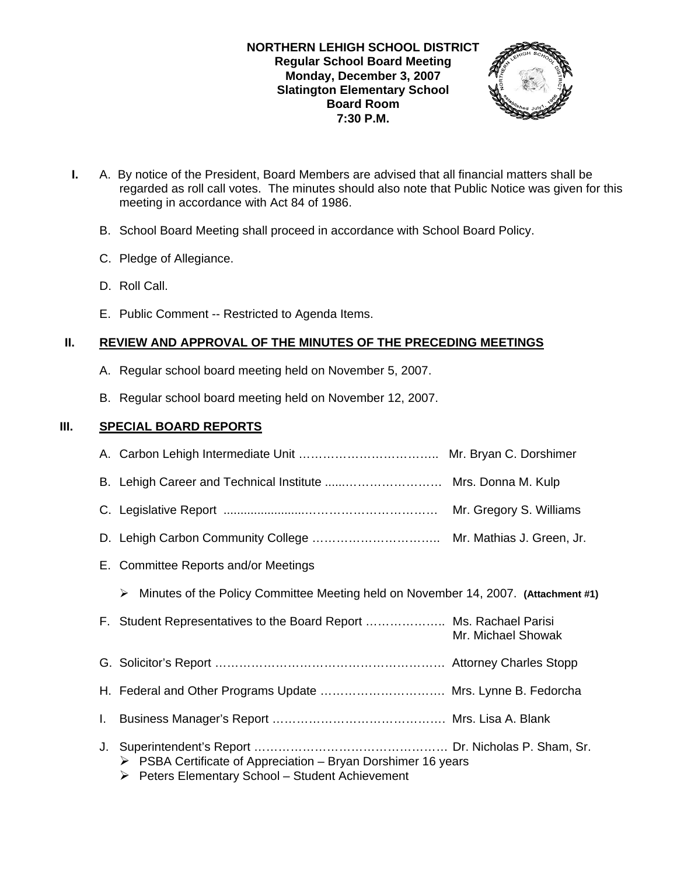### **NORTHERN LEHIGH SCHOOL DISTRICT Regular School Board Meeting Monday, December 3, 2007 Slatington Elementary School Board Room 7:30 P.M.**



- **I.** A. By notice of the President, Board Members are advised that all financial matters shall be regarded as roll call votes. The minutes should also note that Public Notice was given for this meeting in accordance with Act 84 of 1986.
	- B. School Board Meeting shall proceed in accordance with School Board Policy.
	- C. Pledge of Allegiance.
	- D. Roll Call.
	- E. Public Comment -- Restricted to Agenda Items.

# **II. REVIEW AND APPROVAL OF THE MINUTES OF THE PRECEDING MEETINGS**

- A. Regular school board meeting held on November 5, 2007.
- B. Regular school board meeting held on November 12, 2007.

## **III. SPECIAL BOARD REPORTS**

|    | B. Lehigh Career and Technical Institute  Mrs. Donna M. Kulp                                                                                    |                    |
|----|-------------------------------------------------------------------------------------------------------------------------------------------------|--------------------|
|    |                                                                                                                                                 |                    |
|    |                                                                                                                                                 |                    |
|    | E. Committee Reports and/or Meetings                                                                                                            |                    |
|    | Minutes of the Policy Committee Meeting held on November 14, 2007. (Attachment #1)<br>➤                                                         |                    |
|    | F. Student Representatives to the Board Report  Ms. Rachael Parisi                                                                              | Mr. Michael Showak |
|    |                                                                                                                                                 |                    |
|    | H. Federal and Other Programs Update  Mrs. Lynne B. Fedorcha                                                                                    |                    |
| L. |                                                                                                                                                 |                    |
|    | $\triangleright$ PSBA Certificate of Appreciation – Bryan Dorshimer 16 years<br>$\triangleright$ Peters Elementary School – Student Achievement |                    |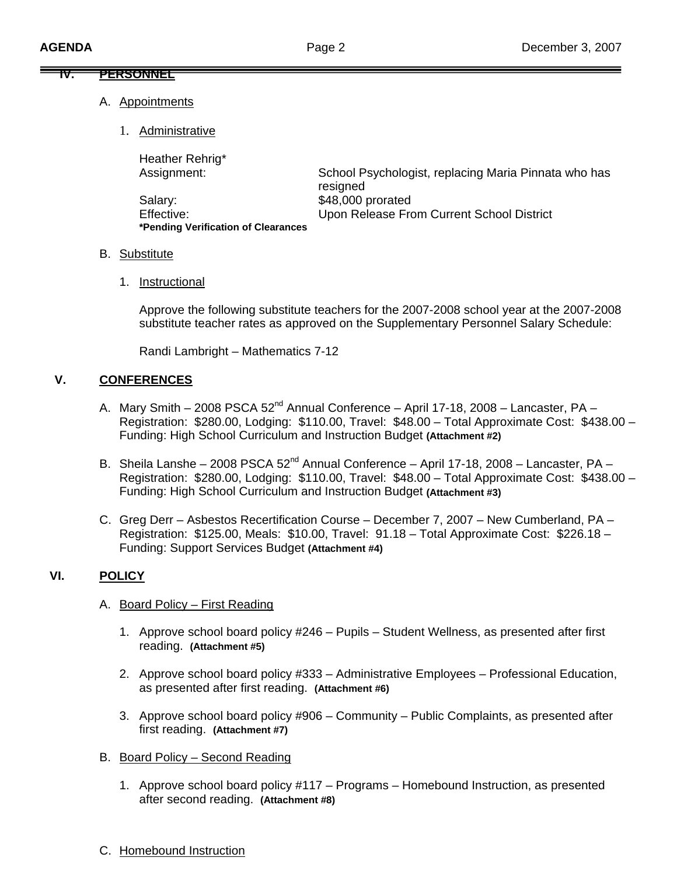#### **IV. PERSONNEL**

- A. Appointments
	- 1. Administrative

Heather Rehrig\*

| Heather Rening                      |                                                      |
|-------------------------------------|------------------------------------------------------|
| Assignment:                         | School Psychologist, replacing Maria Pinnata who has |
|                                     | resigned                                             |
| Salary:                             | \$48,000 prorated                                    |
| Effective:                          | Upon Release From Current School District            |
| *Pending Verification of Clearances |                                                      |

### B. Substitute

1. Instructional

 Approve the following substitute teachers for the 2007-2008 school year at the 2007-2008 substitute teacher rates as approved on the Supplementary Personnel Salary Schedule:

Randi Lambright – Mathematics 7-12

### **V. CONFERENCES**

- A. Mary Smith 2008 PSCA  $52^{nd}$  Annual Conference April 17-18, 2008 Lancaster, PA Registration: \$280.00, Lodging: \$110.00, Travel: \$48.00 – Total Approximate Cost: \$438.00 – Funding: High School Curriculum and Instruction Budget **(Attachment #2)**
- B. Sheila Lanshe 2008 PSCA  $52^{nd}$  Annual Conference April 17-18, 2008 Lancaster, PA Registration: \$280.00, Lodging: \$110.00, Travel: \$48.00 – Total Approximate Cost: \$438.00 – Funding: High School Curriculum and Instruction Budget **(Attachment #3)**
- C. Greg Derr Asbestos Recertification Course December 7, 2007 New Cumberland, PA Registration: \$125.00, Meals: \$10.00, Travel: 91.18 – Total Approximate Cost: \$226.18 – Funding: Support Services Budget **(Attachment #4)**

## **VI. POLICY**

- A. Board Policy First Reading
	- 1. Approve school board policy #246 Pupils Student Wellness, as presented after first reading. **(Attachment #5)**
	- 2. Approve school board policy #333 Administrative Employees Professional Education, as presented after first reading. **(Attachment #6)**
	- 3. Approve school board policy #906 Community Public Complaints, as presented after first reading. **(Attachment #7)**
- B. Board Policy Second Reading
	- 1. Approve school board policy #117 Programs Homebound Instruction, as presented after second reading. **(Attachment #8)**
- C. Homebound Instruction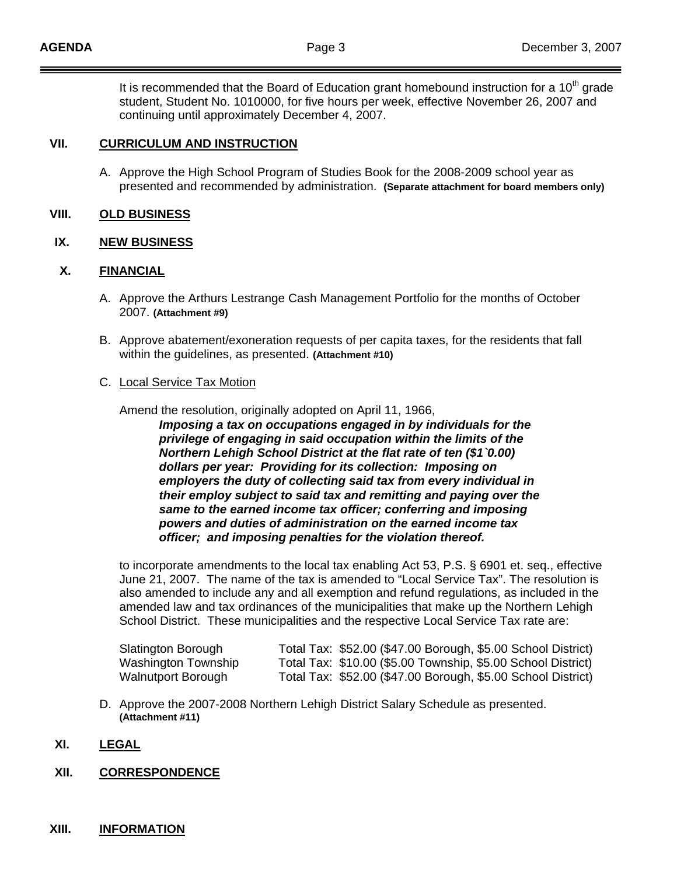It is recommended that the Board of Education grant homebound instruction for a  $10<sup>th</sup>$  grade student, Student No. 1010000, for five hours per week, effective November 26, 2007 and continuing until approximately December 4, 2007.

#### **VII. CURRICULUM AND INSTRUCTION**

A. Approve the High School Program of Studies Book for the 2008-2009 school year as presented and recommended by administration. **(Separate attachment for board members only)**

#### **VIII. OLD BUSINESS**

#### **IX. NEW BUSINESS**

#### **X. FINANCIAL**

- A. Approve the Arthurs Lestrange Cash Management Portfolio for the months of October 2007. **(Attachment #9)**
- B. Approve abatement/exoneration requests of per capita taxes, for the residents that fall within the guidelines, as presented. **(Attachment #10)**

#### C. Local Service Tax Motion

Amend the resolution, originally adopted on April 11, 1966,

 *Imposing a tax on occupations engaged in by individuals for the privilege of engaging in said occupation within the limits of the Northern Lehigh School District at the flat rate of ten (\$1`0.00) dollars per year: Providing for its collection: Imposing on employers the duty of collecting said tax from every individual in their employ subject to said tax and remitting and paying over the same to the earned income tax officer; conferring and imposing powers and duties of administration on the earned income tax officer; and imposing penalties for the violation thereof.* 

 to incorporate amendments to the local tax enabling Act 53, P.S. § 6901 et. seq., effective June 21, 2007. The name of the tax is amended to "Local Service Tax". The resolution is also amended to include any and all exemption and refund regulations, as included in the amended law and tax ordinances of the municipalities that make up the Northern Lehigh School District. These municipalities and the respective Local Service Tax rate are:

| Slatington Borough  | Total Tax: \$52.00 (\$47.00 Borough, \$5.00 School District) |
|---------------------|--------------------------------------------------------------|
| Washington Township | Total Tax: \$10.00 (\$5.00 Township, \$5.00 School District) |
| Walnutport Borough  | Total Tax: \$52.00 (\$47.00 Borough, \$5.00 School District) |

D. Approve the 2007-2008 Northern Lehigh District Salary Schedule as presented. **(Attachment #11)** 

#### **XI. LEGAL**

#### **XII. CORRESPONDENCE**

#### **XIII. INFORMATION**